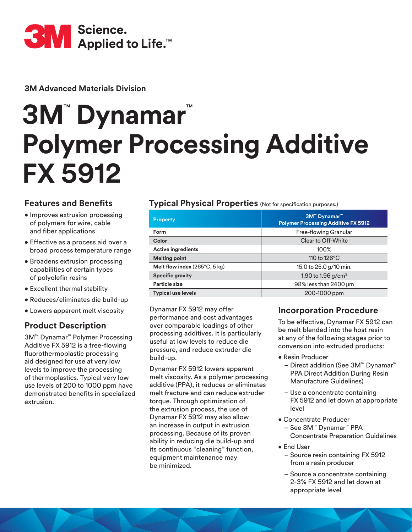

**3M Advanced Materials Division**

# **3M**™  **Dynamar**™ **Polymer Processing Additive FX 5912**

# **Features and Benefits**

- Improves extrusion processing of polymers for wire, cable and fiber applications
- Effective as a process aid over a broad process temperature range
- Broadens extrusion processing capabilities of certain types of polyolefin resins
- Excellent thermal stability
- Reduces/eliminates die build-up
- Lowers apparent melt viscosity

# **Product Description**

3M™ Dynamar™ Polymer Processing Additive FX 5912 is a free-flowing fluorothermoplastic processing aid designed for use at very low levels to improve the processing of thermoplastics. Typical very low use levels of 200 to 1000 ppm have demonstrated benefits in specialized extrusion.

### **Typical Physical Properties** (Not for specification purposes.)

| <b>Property</b>               | 3M <sup>™</sup> Dynamar <sup>™</sup><br><b>Polymer Processing Additive FX 5912</b> |
|-------------------------------|------------------------------------------------------------------------------------|
| <b>Form</b>                   | Free-flowing Granular                                                              |
| Color                         | Clear to Off-White                                                                 |
| <b>Active ingredients</b>     | $100\%$                                                                            |
| <b>Melting point</b>          | 110 to 126°C                                                                       |
| Melt flow index (265°C, 5 kg) | 15.0 to 25.0 g/10 min.                                                             |
| <b>Specific gravity</b>       | 1.90 to 1.96 g/cm <sup>3</sup>                                                     |
| <b>Particle size</b>          | 98% less than 2400 um                                                              |
| <b>Typical use levels</b>     | 200-1000 ppm                                                                       |

Dynamar FX 5912 may offer performance and cost advantages over comparable loadings of other processing additives. It is particularly useful at low levels to reduce die pressure, and reduce extruder die build-up.

Dynamar FX 5912 lowers apparent melt viscosity. As a polymer processing additive (PPA), it reduces or eliminates melt fracture and can reduce extruder torque. Through optimization of the extrusion process, the use of Dynamar FX 5912 may also allow an increase in output in extrusion processing. Because of its proven ability in reducing die build-up and its continuous "cleaning" function, equipment maintenance may be minimized.

### **Incorporation Procedure**

To be effective, Dynamar FX 5912 can be melt blended into the host resin at any of the following stages prior to conversion into extruded products:

- Resin Producer
	- Direct addition (See 3M™ Dynamar™ PPA Direct Addition During Resin Manufacture Guidelines)
	- Use a concentrate containing FX 5912 and let down at appropriate level
- Concentrate Producer – See 3M™ Dynamar™ PPA Concentrate Preparation Guidelines
- End User
	- Source resin containing FX 5912 from a resin producer
	- Source a concentrate containing 2-3% FX 5912 and let down at appropriate level